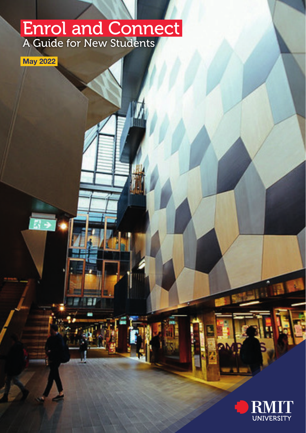## Enrol and Connect A Guide for New Students



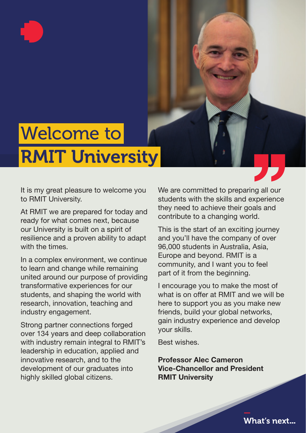# Welcome to RMIT University

It is my great pleasure to welcome you to RMIT University.

At RMIT we are prepared for today and ready for what comes next, because our University is built on a spirit of resilience and a proven ability to adapt with the times.

In a complex environment, we continue to learn and change while remaining united around our purpose of providing transformative experiences for our students, and shaping the world with research, innovation, teaching and industry engagement.

Strong partner connections forged over 134 years and deep collaboration with industry remain integral to RMIT's leadership in education, applied and innovative research, and to the development of our graduates into highly skilled global citizens.

We are committed to preparing all our students with the skills and experience they need to achieve their goals and contribute to a changing world.

This is the start of an exciting journey and you'll have the company of over 96,000 students in Australia, Asia, Europe and beyond. RMIT is a community, and I want you to feel part of it from the beginning.

I encourage you to make the most of what is on offer at RMIT and we will be here to support you as you make new friends, build your global networks, gain industry experience and develop your skills.

Best wishes.

Professor Alec Cameron Vice-Chancellor and President RMIT University

What's next...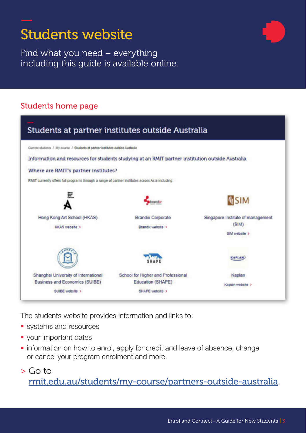

Find what you need – everything including this guide is available online.

## Students home page



The students website provides information and links to:

- **systems and resources**
- **vour important dates**
- **·** information on how to enrol, apply for credit and leave of absence, change or cancel your program enrolment and more.
- > Go to [rmit.edu.au/students/my-course/partners-outside-australia](https://www.rmit.edu.au/students/my-course/partners-outside-australia).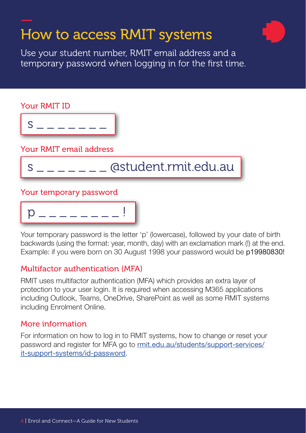## How to access RMIT systems

Use your student number, RMIT email address and a temporary password when logging in for the first time.



Your temporary password is the letter 'p' (lowercase), followed by your date of birth backwards (using the format: year, month, day) with an exclamation mark (!) at the end. Example: if you were born on 30 August 1998 your password would be p19980830!

## Multifactor authentication (MFA)

RMIT uses multifactor authentication (MFA) which provides an extra layer of protection to your user login. It is required when accessing M365 applications including Outlook, Teams, OneDrive, SharePoint as well as some RMIT systems including Enrolment Online.

## More information

For information on how to log in to RMIT systems, how to change or reset your password and register for MFA go to [rmit.edu.au/students/support-services/](https://www.rmit.edu.au/students/support-services/it-support-systems/id-password) [it-support-systems/id-password](https://www.rmit.edu.au/students/support-services/it-support-systems/id-password).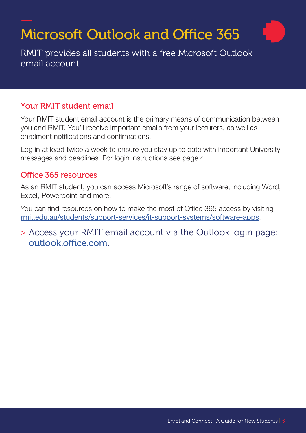# Microsoft Outlook and Office 365

RMIT provides all students with a free Microsoft Outlook email account.

## Your RMIT student email

Your RMIT student email account is the primary means of communication between you and RMIT. You'll receive important emails from your lecturers, as well as enrolment notifications and confirmations.

Log in at least twice a week to ensure you stay up to date with important University messages and deadlines. For login instructions see page 4.

## Office 365 resources

As an RMIT student, you can access Microsoft's range of software, including Word, Excel, Powerpoint and more.

You can find resources on how to make the most of Office 365 access by visiting [rmit.edu.au/students/support-services/it-support-systems/software-apps](http://www.rmit.edu.au/students/support-services/it-support-systems/software-apps).

> Access your RMIT email account via the Outlook login page: [outlook.office.com](https://outlook.office.com).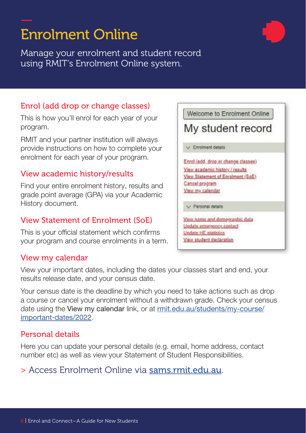## Enrolment Online

Manage your enrolment and student record using RMIT's Enrolment Online system.

## Enrol (add drop or change classes)

This is how you'll enrol for each year of your program.

RMIT and your partner institution will always provide instructions on how to complete your enrolment for each year of your program.

## View academic history/results

Find your entire enrolment history, results and grade point average (GPA) via your Academic History document.

## View Statement of Enrolment (SoE)

This is your official statement which confirms your program and course enrolments in a term.

## View my calendar

View your important dates, including the dates your classes start and end, your results release date, and your census date.

Your census date is the deadline by which you need to take actions such as drop a course or cancel your enrolment without a withdrawn grade. Check your census date using the View my calendar link, or at [rmit.edu.au/students/my-course/](http://www.rmit.edu.au/students/my-course/important-dates/2022) [important-dates/2022](http://www.rmit.edu.au/students/my-course/important-dates/2022).

## Personal details

Here you can update your personal details (e.g. email, home address, contact number etc) as well as view your Statement of Student Responsibilities.

## > Access Enrolment Online via [sams.rmit.edu.au](https://sams.rmit.edu.au).

My student record  $\vee$  Enrolment details Enrol (add, drop or change classes) View academic history / results View Statement of Enrolment (SoE) Cancel program View my calendar

Welcome to Enrolment Online

Personal details

View name and demographic data Update emergency contact **Undate HE statistics** View student declaration

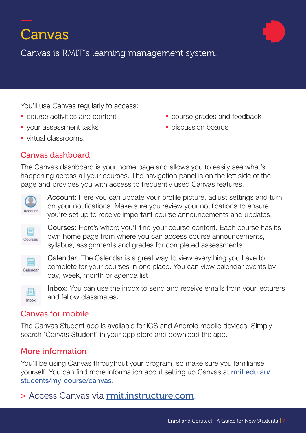# Canvas

Canvas is RMIT's learning management system.

You'll use Canvas regularly to access:

- 
- vour assessment tasks **discussion boards**
- virtual classrooms.

## Canvas dashboard

- **COURSE ACTIVITIES AND CONTENT COURSE COURSE AND COURSE AND COURSE AND COURSE AND COURSE AND** 
	-

The Canvas dashboard is your home page and allows you to easily see what's happening across all your courses. The navigation panel is on the left side of the page and provides you with access to frequently used Canvas features.



Account: Here you can update your profile picture, adjust settings and turn on your notifications. Make sure you review your notifications to ensure you're set up to receive important course announcements and updates.



Courses: Here's where you'll find your course content. Each course has its own home page from where you can access course announcements, syllabus, assignments and grades for completed assessments.



Calendar: The Calendar is a great way to view everything you have to complete for your courses in one place. You can view calendar events by day, week, month or agenda list.



Inbox: You can use the inbox to send and receive emails from your lecturers and fellow classmates.

## Canvas for mobile

The Canvas Student app is available for iOS and Android mobile devices. Simply search 'Canvas Student' in your app store and download the app.

## More information

You'll be using Canvas throughout your program, so make sure you familiarise yourself. You can find more information about setting up Canvas at [rmit.edu.au/](http://www.rmit.edu.au/students/my-course/canvas) [students/my-course/canvas](http://www.rmit.edu.au/students/my-course/canvas).

## > Access Canvas via [rmit.instructure.com](https://rmit.instructure.com).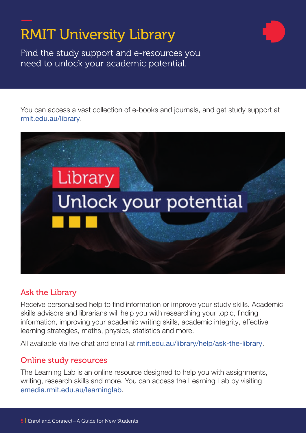# RMIT University Library

Find the study support and e-resources you need to unlock your academic potential.

You can access a vast collection of e-books and journals, and get study support at [rmit.edu.au/library](https://www.rmit.edu.au/library).



## Ask the Library

Receive personalised help to find information or improve your study skills. Academic skills advisors and librarians will help you with researching your topic, finding information, improving your academic writing skills, academic integrity, effective learning strategies, maths, physics, statistics and more.

All available via live chat and email at [rmit.edu.au/library/help/ask-the-library](https://www.rmit.edu.au/library/help/ask-the-library).

## Online study resources

The Learning Lab is an online resource designed to help you with assignments, writing, research skills and more. You can access the Learning Lab by visiting [emedia.rmit.edu.au/learninglab](https://emedia.rmit.edu.au/learninglab/).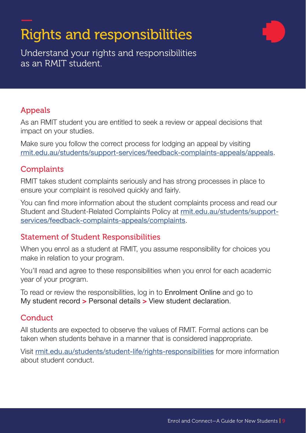# Rights and responsibilities



Understand your rights and responsibilities as an RMIT student.

## Appeals

As an RMIT student you are entitled to seek a review or appeal decisions that impact on your studies.

Make sure you follow the correct process for lodging an appeal by visiting [rmit.edu.au/students/support-services/feedback-complaints-appeals/appeals](http://www.rmit.edu.au/students/support-services/feedback-complaints-appeals/appeals).

## **Complaints**

RMIT takes student complaints seriously and has strong processes in place to ensure your complaint is resolved quickly and fairly.

You can find more information about the student complaints process and read our Student and Student-Related Complaints Policy at [rmit.edu.au/students/support](http://www.rmit.edu.au/students/support-services/feedback-complaints-appeals/complaints)[services/feedback-complaints-appeals/complaints](http://www.rmit.edu.au/students/support-services/feedback-complaints-appeals/complaints).

## Statement of Student Responsibilities

When you enrol as a student at RMIT, you assume responsibility for choices you make in relation to your program.

You'll read and agree to these responsibilities when you enrol for each academic year of your program.

To read or review the responsibilities, log in to Enrolment Online and go to My student record > Personal details > View student declaration.

## **Conduct**

All students are expected to observe the values of RMIT. Formal actions can be taken when students behave in a manner that is considered inappropriate.

Visit [rmit.edu.au/students/student-life/rights-responsibilities](http://www.rmit.edu.au/students/student-life/rights-responsibilities) for more information about student conduct.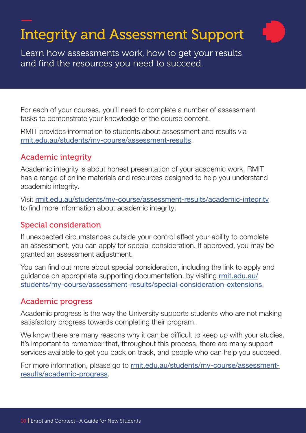# Integrity and Assessment Support

Learn how assessments work, how to get your results and find the resources you need to succeed.

For each of your courses, you'll need to complete a number of assessment tasks to demonstrate your knowledge of the course content.

RMIT provides information to students about assessment and results via [rmit.edu.au/students/my-course/assessment-results](http://www.rmit.edu.au/students/my-course/assessment-results).

## Academic integrity

Academic integrity is about honest presentation of your academic work. RMIT has a range of online materials and resources designed to help you understand academic integrity.

Visit [rmit.edu.au/students/my-course/assessment-results/academic-integrity](http://www.rmit.edu.au/students/my-course/assessment-results/academic-integrity) to find more information about academic integrity.

## Special consideration

If unexpected circumstances outside your control affect your ability to complete an assessment, you can apply for special consideration. If approved, you may be granted an assessment adjustment.

You can find out more about special consideration, including the link to apply and guidance on appropriate supporting documentation, by visiting [rmit.edu.au/](http://www.rmit.edu.au/students/my-course/assessment-results/special-consideration-extensions) [students/my-course/assessment-results/special-consideration-extensions](http://www.rmit.edu.au/students/my-course/assessment-results/special-consideration-extensions).

## Academic progress

Academic progress is the way the University supports students who are not making satisfactory progress towards completing their program.

We know there are many reasons why it can be difficult to keep up with your studies. It's important to remember that, throughout this process, there are many support services available to get you back on track, and people who can help you succeed.

For more information, please go to [rmit.edu.au/students/my-course/assessment](http://www.rmit.edu.au/students/my-course/assessment-results/academic-progress)[results/academic-progress](http://www.rmit.edu.au/students/my-course/assessment-results/academic-progress).